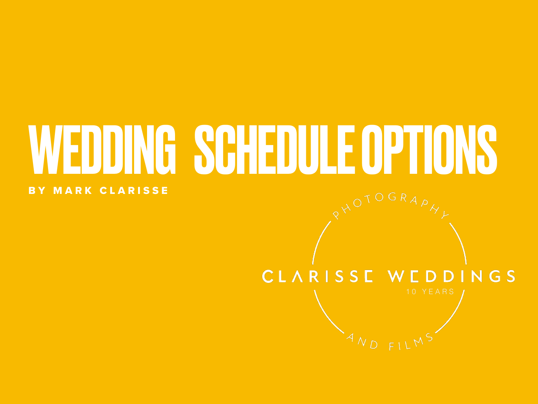# WEDDING SCHEDULE OPTIONS

#### BY MARK CLARISSE

### CLARISSE WEDDINGS

 $F<sub>1</sub>$ 

 $A_{N_D}$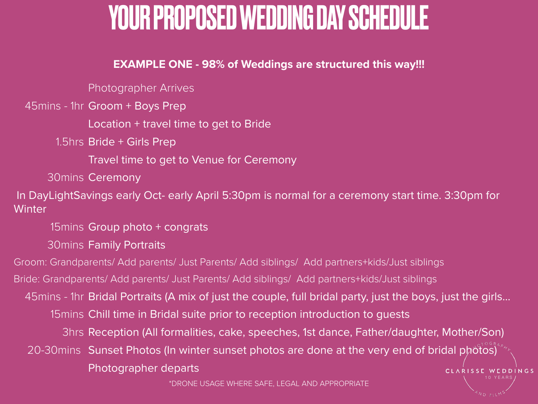## YOUR PROPOSED WEDDING DAY SCHEDULE

#### **EXAMPLE ONE - 98% of Weddings are structured this way!!!**

Photographer Arrives

45mins - 1hr Groom + Boys Prep

Location + travel time to get to Bride

1.5hrs Bride + Girls Prep

Travel time to get to Venue for Ceremony

30mins Ceremony

 In DayLightSavings early Oct- early April 5:30pm is normal for a ceremony start time. 3:30pm for **Winter** 

15mins Group photo + congrats

30mins Family Portraits

Groom: Grandparents/ Add parents/ Just Parents/ Add siblings/ Add partners+kids/Just siblings

Bride: Grandparents/ Add parents/ Just Parents/ Add siblings/ Add partners+kids/Just siblings

45mins - 1hr Bridal Portraits (A mix of just the couple, full bridal party, just the boys, just the girls…

15mins Chill time in Bridal suite prior to reception introduction to guests

3hrs Reception (All formalities, cake, speeches, 1st dance, Father/daughter, Mother/Son)

1 0 Y E A R S

CLARISSE WEDDINGS

20-30mins Sunset Photos (In winter sunset photos are done at the very end of bridal photos)

Photographer departs

\*DRONE USAGE WHERE SAFE, LEGAL AND APPROPRIATE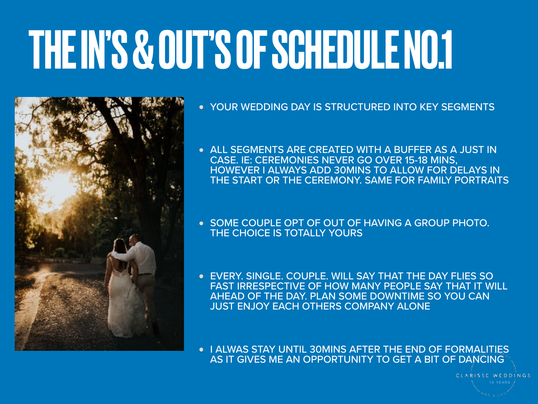# THE IN'S & OUT'S OF SCHEDULE NO.1



- YOUR WEDDING DAY IS STRUCTURED INTO KEY SEGMENTS
- ALL SEGMENTS ARE CREATED WITH A BUFFER AS A JUST IN CASE. IE: CEREMONIES NEVER GO OVER 15-18 MINS, HOWEVER I ALWAYS ADD 30MINS TO ALLOW FOR DELAYS IN THE START OR THE CEREMONY. SAME FOR FAMILY PORTRAITS
- **SOME COUPLE OPT OF OUT OF HAVING A GROUP PHOTO.** THE CHOICE IS TOTALLY YOURS
- EVERY. SINGLE. COUPLE. WILL SAY THAT THE DAY FLIES SO FAST IRRESPECTIVE OF HOW MANY PEOPLE SAY THAT IT WILL AHEAD OF THE DAY. PLAN SOME DOWNTIME SO YOU CAN JUST ENJOY EACH OTHERS COMPANY ALONE
- **I ALWAS STAY UNTIL 30MINS AFTER THE END OF FORMALITIES** AS IT GIVES ME AN OPPORTUNITY TO GET A BIT OF DANCING

CLARISSE WEDDINGS 1 0 Y E A R S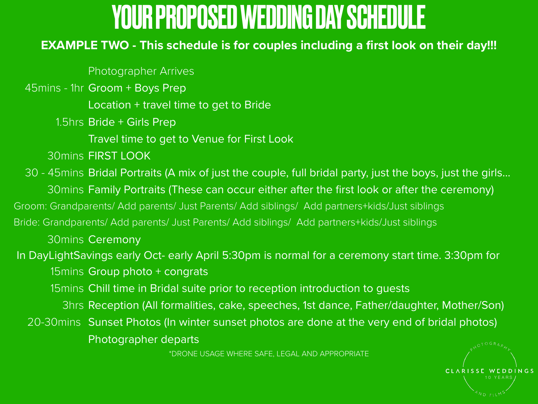## YOUR PROPOSED WEDDING DAY SCHEDULE

#### **EXAMPLE TWO - This schedule is for couples including a first look on their day!!!**

Photographer Arrives

45mins - 1hr Groom + Boys Prep

Location + travel time to get to Bride

1.5hrs Bride + Girls Prep

Travel time to get to Venue for First Look

30mins FIRST LOOK

30 - 45mins Bridal Portraits (A mix of just the couple, full bridal party, just the boys, just the girls… 30mins Family Portraits (These can occur either after the first look or after the ceremony) Groom: Grandparents/ Add parents/ Just Parents/ Add siblings/ Add partners+kids/Just siblings Bride: Grandparents/ Add parents/ Just Parents/ Add siblings/ Add partners+kids/Just siblings 30mins Ceremony In DayLightSavings early Oct- early April 5:30pm is normal for a ceremony start time. 3:30pm for 15 $m$ ins Group photo + congrats 15mins Chill time in Bridal suite prior to reception introduction to guests 3hrs Reception (All formalities, cake, speeches, 1st dance, Father/daughter, Mother/Son) 20-30mins Sunset Photos (In winter sunset photos are done at the very end of bridal photos) Photographer departs \*DRONE USAGE WHERE SAFE, LEGAL AND APPROPRIATE

WEDDINGS 1 0 Y E A R S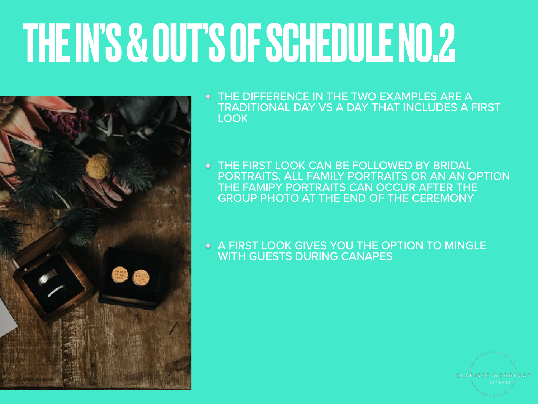# THE IN'S & OUT'S OF SCHEDULE NO.2



- THE DIFFERENCE IN THE TWO EXAMPLES ARE A TRADITIONAL DAY VS A DAY THAT INCLUDES A FIRST LOOK
- THE FIRST LOOK CAN BE FOLLOWED BY BRIDAL PORTRAITS, ALL FAMILY PORTRAITS OR AN AN OPTION THE FAMIPY PORTRAITS CAN OCCUR AFTER THE GROUP PHOTO AT THE END OF THE CEREMONY
- A FIRST LOOK GIVES YOU THE OPTION TO MINGLE WITH GUESTS DURING CANAPES